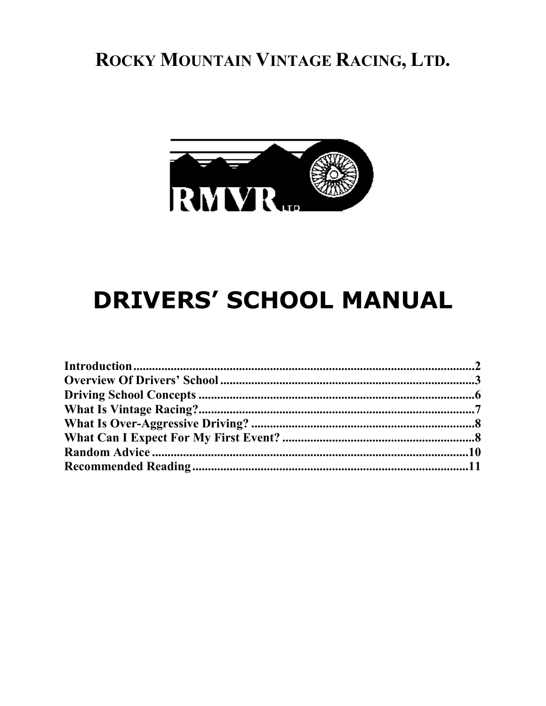## ROCKY MOUNTAIN VINTAGE RACING, LTD.



# **DRIVERS' SCHOOL MANUAL**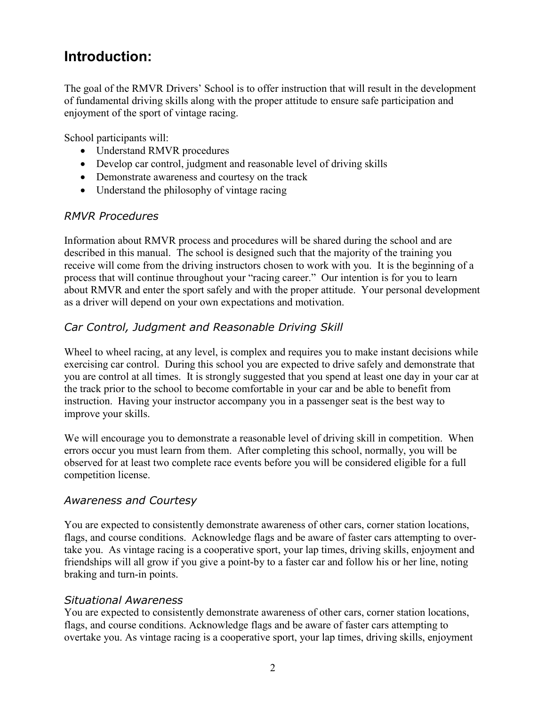## <span id="page-1-0"></span>**Introduction:**

The goal of the RMVR Drivers' School is to offer instruction that will result in the development of fundamental driving skills along with the proper attitude to ensure safe participation and enjoyment of the sport of vintage racing.

School participants will:

- Understand RMVR procedures
- Develop car control, judgment and reasonable level of driving skills
- Demonstrate awareness and courtesy on the track
- Understand the philosophy of vintage racing

#### *RMVR Procedures*

Information about RMVR process and procedures will be shared during the school and are described in this manual. The school is designed such that the majority of the training you receive will come from the driving instructors chosen to work with you. It is the beginning of a process that will continue throughout your "racing career." Our intention is for you to learn about RMVR and enter the sport safely and with the proper attitude. Your personal development as a driver will depend on your own expectations and motivation.

#### *Car Control, Judgment and Reasonable Driving Skill*

Wheel to wheel racing, at any level, is complex and requires you to make instant decisions while exercising car control. During this school you are expected to drive safely and demonstrate that you are control at all times. It is strongly suggested that you spend at least one day in your car at the track prior to the school to become comfortable in your car and be able to benefit from instruction. Having your instructor accompany you in a passenger seat is the best way to improve your skills.

We will encourage you to demonstrate a reasonable level of driving skill in competition. When errors occur you must learn from them. After completing this school, normally, you will be observed for at least two complete race events before you will be considered eligible for a full competition license.

#### *Awareness and Courtesy*

You are expected to consistently demonstrate awareness of other cars, corner station locations, flags, and course conditions. Acknowledge flags and be aware of faster cars attempting to overtake you. As vintage racing is a cooperative sport, your lap times, driving skills, enjoyment and friendships will all grow if you give a point-by to a faster car and follow his or her line, noting braking and turn-in points.

#### *Situational Awareness*

You are expected to consistently demonstrate awareness of other cars, corner station locations, flags, and course conditions. Acknowledge flags and be aware of faster cars attempting to overtake you. As vintage racing is a cooperative sport, your lap times, driving skills, enjoyment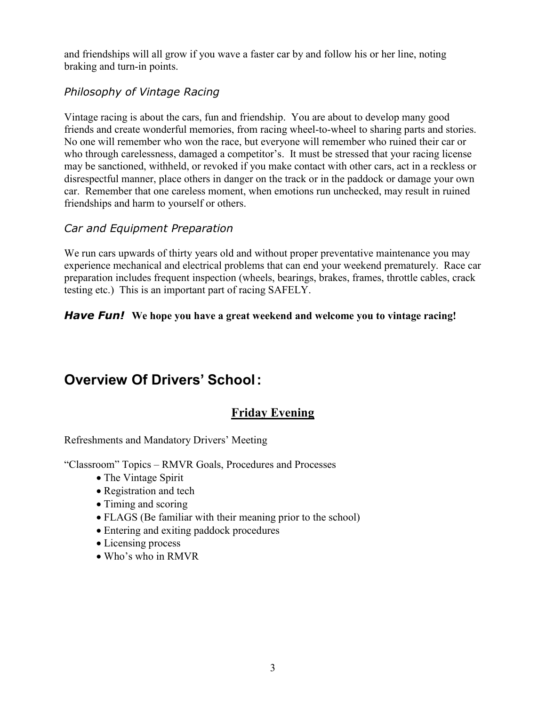and friendships will all grow if you wave a faster car by and follow his or her line, noting braking and turn-in points.

#### *Philosophy of Vintage Racing*

Vintage racing is about the cars, fun and friendship. You are about to develop many good friends and create wonderful memories, from racing wheel-to-wheel to sharing parts and stories. No one will remember who won the race, but everyone will remember who ruined their car or who through carelessness, damaged a competitor's. It must be stressed that your racing license may be sanctioned, withheld, or revoked if you make contact with other cars, act in a reckless or disrespectful manner, place others in danger on the track or in the paddock or damage your own car. Remember that one careless moment, when emotions run unchecked, may result in ruined friendships and harm to yourself or others.

#### *Car and Equipment Preparation*

We run cars upwards of thirty years old and without proper preventative maintenance you may experience mechanical and electrical problems that can end your weekend prematurely. Race car preparation includes frequent inspection (wheels, bearings, brakes, frames, throttle cables, crack testing etc.) This is an important part of racing SAFELY.

#### <span id="page-2-0"></span>*Have Fun!* **We hope you have a great weekend and welcome you to vintage racing!**

## **Overview Of Drivers' School:**

#### **Friday Evening**

Refreshments and Mandatory Drivers' Meeting

"Classroom" Topics – RMVR Goals, Procedures and Processes

- The Vintage Spirit
- Registration and tech
- Timing and scoring
- FLAGS (Be familiar with their meaning prior to the school)
- Entering and exiting paddock procedures
- Licensing process
- Who's who in RMVR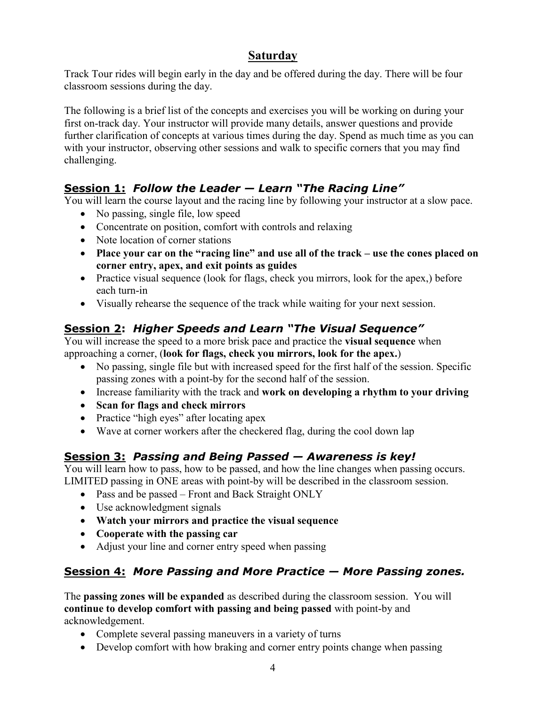#### **Saturday**

Track Tour rides will begin early in the day and be offered during the day. There will be four classroom sessions during the day.

The following is a brief list of the concepts and exercises you will be working on during your first on-track day. Your instructor will provide many details, answer questions and provide further clarification of concepts at various times during the day. Spend as much time as you can with your instructor, observing other sessions and walk to specific corners that you may find challenging.

#### **Session 1:** *Follow the Leader — Learn "The Racing Line"*

You will learn the course layout and the racing line by following your instructor at a slow pace.

- No passing, single file, low speed
- Concentrate on position, comfort with controls and relaxing
- Note location of corner stations
- **Place your car on the "racing line" and use all of the track – use the cones placed on corner entry, apex, and exit points as guides**
- Practice visual sequence (look for flags, check you mirrors, look for the apex,) before each turn-in
- Visually rehearse the sequence of the track while waiting for your next session.

#### **Session 2:** *Higher Speeds and Learn "The Visual Sequence"*

You will increase the speed to a more brisk pace and practice the **visual sequence** when approaching a corner, (**look for flags, check you mirrors, look for the apex.**)

- No passing, single file but with increased speed for the first half of the session. Specific passing zones with a point-by for the second half of the session.
- Increase familiarity with the track and work on developing a rhythm to your driving
- **Scan for flags and check mirrors**
- Practice "high eyes" after locating apex
- Wave at corner workers after the checkered flag, during the cool down lap

## **Session 3:** *Passing and Being Passed — Awareness is key!*

You will learn how to pass, how to be passed, and how the line changes when passing occurs. LIMITED passing in ONE areas with point-by will be described in the classroom session.

- Pass and be passed Front and Back Straight ONLY
- Use acknowledgment signals
- **Watch your mirrors and practice the visual sequence**
- **Cooperate with the passing car**
- Adjust your line and corner entry speed when passing

#### **Session 4:** *More Passing and More Practice — More Passing zones.*

The **passing zones will be expanded** as described during the classroom session. You will **continue to develop comfort with passing and being passed** with point-by and acknowledgement.

- Complete several passing maneuvers in a variety of turns
- Develop comfort with how braking and corner entry points change when passing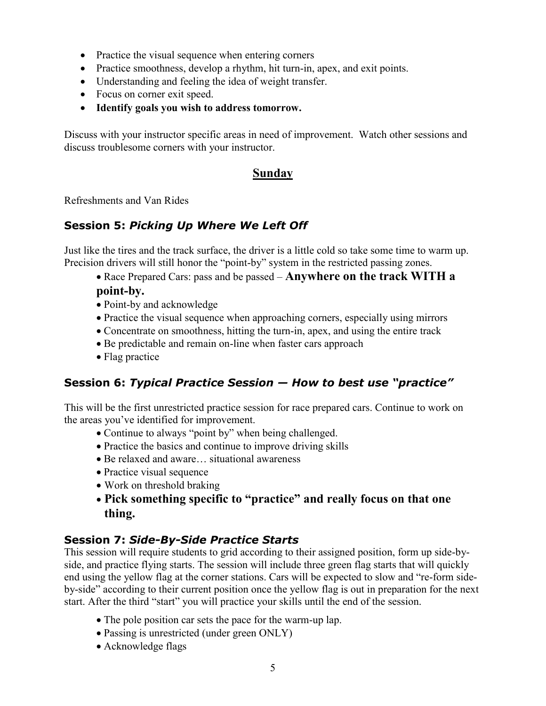- Practice the visual sequence when entering corners
- Practice smoothness, develop a rhythm, hit turn-in, apex, and exit points.
- Understanding and feeling the idea of weight transfer.
- Focus on corner exit speed.
- **Identify goals you wish to address tomorrow.**

Discuss with your instructor specific areas in need of improvement. Watch other sessions and discuss troublesome corners with your instructor.

#### **Sunday**

Refreshments and Van Rides

#### **Session 5:** *Picking Up Where We Left Off*

Just like the tires and the track surface, the driver is a little cold so take some time to warm up. Precision drivers will still honor the "point-by" system in the restricted passing zones.

- Race Prepared Cars: pass and be passed **Anywhere on the track WITH a point-by.**
- Point-by and acknowledge
- Practice the visual sequence when approaching corners, especially using mirrors
- Concentrate on smoothness, hitting the turn-in, apex, and using the entire track
- Be predictable and remain on-line when faster cars approach
- Flag practice

#### **Session 6:** *Typical Practice Session — How to best use "practice"*

This will be the first unrestricted practice session for race prepared cars. Continue to work on the areas you've identified for improvement.

- Continue to always "point by" when being challenged.
- Practice the basics and continue to improve driving skills
- Be relaxed and aware… situational awareness
- Practice visual sequence
- Work on threshold braking
- **Pick something specific to "practice" and really focus on that one thing.**

#### **Session 7:** *Side-By-Side Practice Starts*

This session will require students to grid according to their assigned position, form up side-byside, and practice flying starts. The session will include three green flag starts that will quickly end using the yellow flag at the corner stations. Cars will be expected to slow and "re-form sideby-side" according to their current position once the yellow flag is out in preparation for the next start. After the third "start" you will practice your skills until the end of the session.

- The pole position car sets the pace for the warm-up lap.
- Passing is unrestricted (under green ONLY)
- Acknowledge flags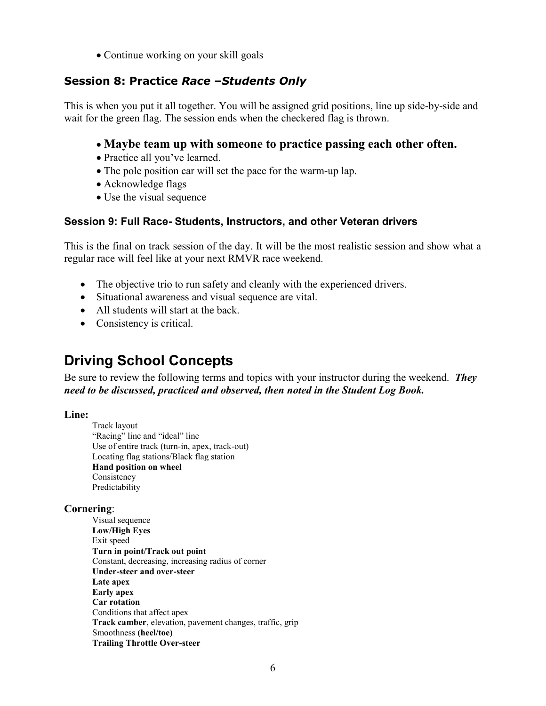• Continue working on your skill goals

#### **Session 8: Practice** *Race –Students Only*

This is when you put it all together. You will be assigned grid positions, line up side-by-side and wait for the green flag. The session ends when the checkered flag is thrown.

#### **Maybe team up with someone to practice passing each other often.**

- Practice all you've learned.
- The pole position car will set the pace for the warm-up lap.
- Acknowledge flags
- Use the visual sequence

#### **Session 9: Full Race- Students, Instructors, and other Veteran drivers**

This is the final on track session of the day. It will be the most realistic session and show what a regular race will feel like at your next RMVR race weekend.

- The objective trio to run safety and cleanly with the experienced drivers.
- Situational awareness and visual sequence are vital.
- All students will start at the back.
- Consistency is critical.

## <span id="page-5-0"></span>**Driving School Concepts**

Be sure to review the following terms and topics with your instructor during the weekend. *They need to be discussed, practiced and observed, then noted in the Student Log Book.*

#### **Line:**

Track layout "Racing" line and "ideal" line Use of entire track (turn-in, apex, track-out) Locating flag stations/Black flag station **Hand position on wheel** Consistency Predictability

#### **Cornering**:

Visual sequence **Low/High Eyes** Exit speed **Turn in point/Track out point** Constant, decreasing, increasing radius of corner **Under-steer and over-steer Late apex Early apex Car rotation** Conditions that affect apex **Track camber**, elevation, pavement changes, traffic, grip Smoothness **(heel/toe) Trailing Throttle Over-steer**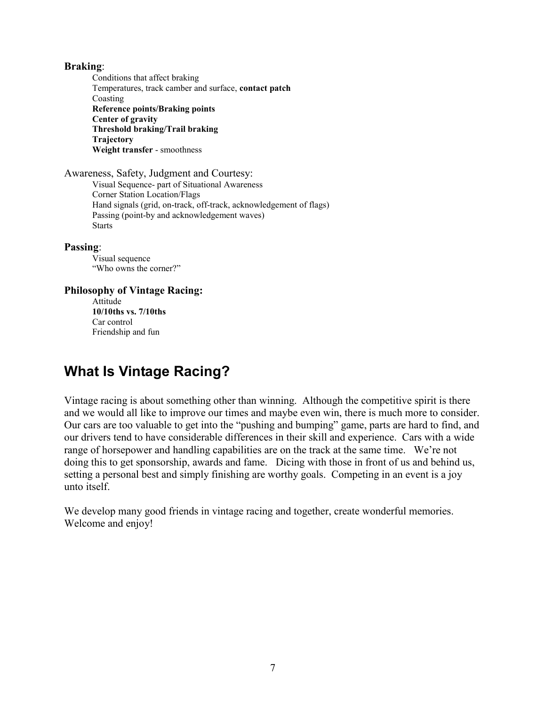**Braking**: Conditions that affect braking Temperatures, track camber and surface, **contact patch** Coasting **Reference points/Braking points Center of gravity Threshold braking/Trail braking Trajectory Weight transfer** - smoothness

Awareness, Safety, Judgment and Courtesy: Visual Sequence- part of Situational Awareness Corner Station Location/Flags Hand signals (grid, on-track, off-track, acknowledgement of flags) Passing (point-by and acknowledgement waves) Starts

**Passing**:

Visual sequence "Who owns the corner?"

**Philosophy of Vintage Racing:**

Attitude **10/10ths vs. 7/10ths** Car control Friendship and fun

## <span id="page-6-0"></span>**What Is Vintage Racing?**

Vintage racing is about something other than winning. Although the competitive spirit is there and we would all like to improve our times and maybe even win, there is much more to consider. Our cars are too valuable to get into the "pushing and bumping" game, parts are hard to find, and our drivers tend to have considerable differences in their skill and experience. Cars with a wide range of horsepower and handling capabilities are on the track at the same time. We're not doing this to get sponsorship, awards and fame. Dicing with those in front of us and behind us, setting a personal best and simply finishing are worthy goals. Competing in an event is a joy unto itself.

<span id="page-6-1"></span>We develop many good friends in vintage racing and together, create wonderful memories. Welcome and enjoy!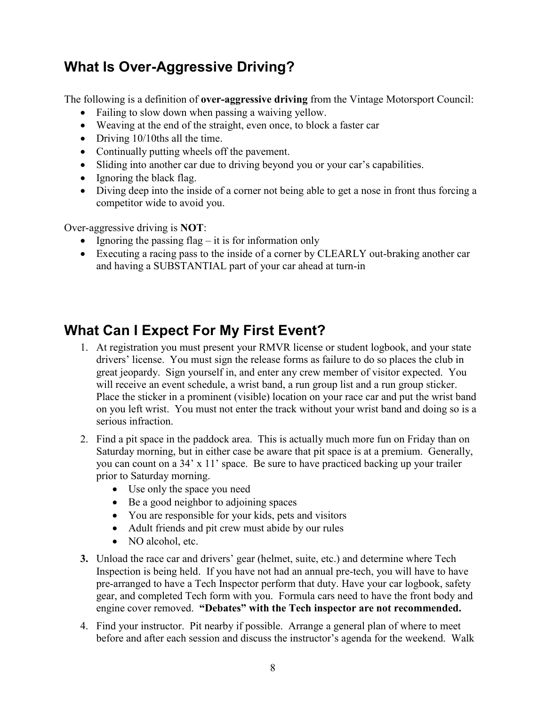## **What Is Over-Aggressive Driving?**

The following is a definition of **over-aggressive driving** from the Vintage Motorsport Council:

- Failing to slow down when passing a waiving yellow.
- Weaving at the end of the straight, even once, to block a faster car
- Driving 10/10ths all the time.
- Continually putting wheels off the pavement.
- Sliding into another car due to driving beyond you or your car's capabilities.
- Ignoring the black flag.
- Diving deep into the inside of a corner not being able to get a nose in front thus forcing a competitor wide to avoid you.

Over-aggressive driving is **NOT**:

- Ignoring the passing flag  $-$  it is for information only
- Executing a racing pass to the inside of a corner by CLEARLY out-braking another car and having a SUBSTANTIAL part of your car ahead at turn-in

## <span id="page-7-0"></span>**What Can I Expect For My First Event?**

- 1. At registration you must present your RMVR license or student logbook, and your state drivers' license. You must sign the release forms as failure to do so places the club in great jeopardy. Sign yourself in, and enter any crew member of visitor expected. You will receive an event schedule, a wrist band, a run group list and a run group sticker. Place the sticker in a prominent (visible) location on your race car and put the wrist band on you left wrist. You must not enter the track without your wrist band and doing so is a serious infraction.
- 2. Find a pit space in the paddock area. This is actually much more fun on Friday than on Saturday morning, but in either case be aware that pit space is at a premium. Generally, you can count on a 34' x 11' space. Be sure to have practiced backing up your trailer prior to Saturday morning.
	- Use only the space you need
	- Be a good neighbor to adjoining spaces
	- You are responsible for your kids, pets and visitors
	- Adult friends and pit crew must abide by our rules
	- NO alcohol, etc.
- **3.** Unload the race car and drivers' gear (helmet, suite, etc.) and determine where Tech Inspection is being held. If you have not had an annual pre-tech, you will have to have pre-arranged to have a Tech Inspector perform that duty. Have your car logbook, safety gear, and completed Tech form with you. Formula cars need to have the front body and engine cover removed. **"Debates" with the Tech inspector are not recommended.**
- 4. Find your instructor. Pit nearby if possible. Arrange a general plan of where to meet before and after each session and discuss the instructor's agenda for the weekend. Walk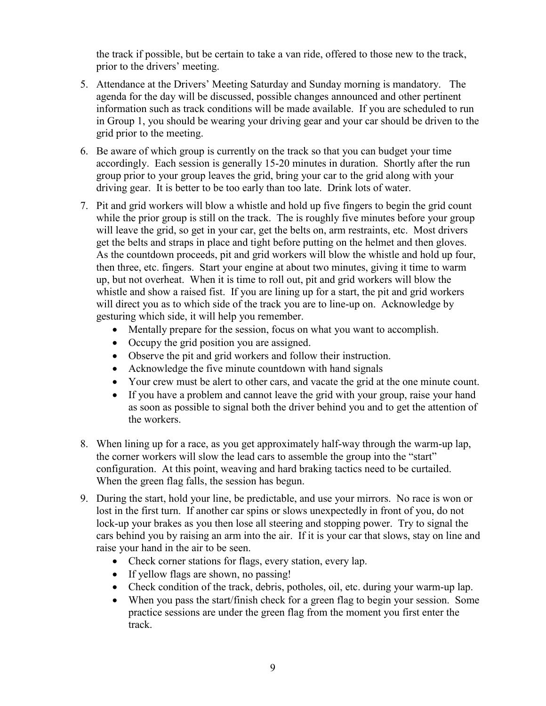the track if possible, but be certain to take a van ride, offered to those new to the track, prior to the drivers' meeting.

- 5. Attendance at the Drivers' Meeting Saturday and Sunday morning is mandatory. The agenda for the day will be discussed, possible changes announced and other pertinent information such as track conditions will be made available. If you are scheduled to run in Group 1, you should be wearing your driving gear and your car should be driven to the grid prior to the meeting.
- 6. Be aware of which group is currently on the track so that you can budget your time accordingly. Each session is generally 15-20 minutes in duration. Shortly after the run group prior to your group leaves the grid, bring your car to the grid along with your driving gear. It is better to be too early than too late. Drink lots of water.
- 7. Pit and grid workers will blow a whistle and hold up five fingers to begin the grid count while the prior group is still on the track. The is roughly five minutes before your group will leave the grid, so get in your car, get the belts on, arm restraints, etc. Most drivers get the belts and straps in place and tight before putting on the helmet and then gloves. As the countdown proceeds, pit and grid workers will blow the whistle and hold up four, then three, etc. fingers. Start your engine at about two minutes, giving it time to warm up, but not overheat. When it is time to roll out, pit and grid workers will blow the whistle and show a raised fist. If you are lining up for a start, the pit and grid workers will direct you as to which side of the track you are to line-up on. Acknowledge by gesturing which side, it will help you remember.
	- Mentally prepare for the session, focus on what you want to accomplish.
	- Occupy the grid position you are assigned.
	- Observe the pit and grid workers and follow their instruction.
	- Acknowledge the five minute countdown with hand signals
	- Your crew must be alert to other cars, and vacate the grid at the one minute count.
	- If you have a problem and cannot leave the grid with your group, raise your hand as soon as possible to signal both the driver behind you and to get the attention of the workers.
- 8. When lining up for a race, as you get approximately half-way through the warm-up lap, the corner workers will slow the lead cars to assemble the group into the "start" configuration. At this point, weaving and hard braking tactics need to be curtailed. When the green flag falls, the session has begun.
- 9. During the start, hold your line, be predictable, and use your mirrors. No race is won or lost in the first turn. If another car spins or slows unexpectedly in front of you, do not lock-up your brakes as you then lose all steering and stopping power. Try to signal the cars behind you by raising an arm into the air. If it is your car that slows, stay on line and raise your hand in the air to be seen.
	- Check corner stations for flags, every station, every lap.
	- If yellow flags are shown, no passing!
	- Check condition of the track, debris, potholes, oil, etc. during your warm-up lap.
	- When you pass the start/finish check for a green flag to begin your session. Some practice sessions are under the green flag from the moment you first enter the track.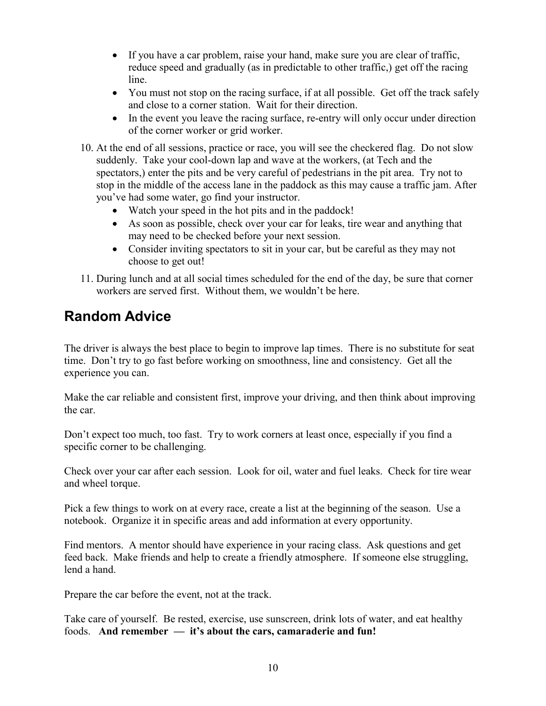- If you have a car problem, raise your hand, make sure you are clear of traffic, reduce speed and gradually (as in predictable to other traffic,) get off the racing line.
- You must not stop on the racing surface, if at all possible. Get off the track safely and close to a corner station. Wait for their direction.
- In the event you leave the racing surface, re-entry will only occur under direction of the corner worker or grid worker.
- 10. At the end of all sessions, practice or race, you will see the checkered flag. Do not slow suddenly. Take your cool-down lap and wave at the workers, (at Tech and the spectators,) enter the pits and be very careful of pedestrians in the pit area. Try not to stop in the middle of the access lane in the paddock as this may cause a traffic jam. After you've had some water, go find your instructor.
	- Watch your speed in the hot pits and in the paddock!
	- As soon as possible, check over your car for leaks, tire wear and anything that may need to be checked before your next session.
	- Consider inviting spectators to sit in your car, but be careful as they may not choose to get out!
- 11. During lunch and at all social times scheduled for the end of the day, be sure that corner workers are served first. Without them, we wouldn't be here.

## <span id="page-9-0"></span>**Random Advice**

The driver is always the best place to begin to improve lap times. There is no substitute for seat time. Don't try to go fast before working on smoothness, line and consistency. Get all the experience you can.

Make the car reliable and consistent first, improve your driving, and then think about improving the car.

Don't expect too much, too fast. Try to work corners at least once, especially if you find a specific corner to be challenging.

Check over your car after each session. Look for oil, water and fuel leaks. Check for tire wear and wheel torque.

Pick a few things to work on at every race, create a list at the beginning of the season. Use a notebook. Organize it in specific areas and add information at every opportunity.

Find mentors. A mentor should have experience in your racing class. Ask questions and get feed back. Make friends and help to create a friendly atmosphere. If someone else struggling, lend a hand.

Prepare the car before the event, not at the track.

Take care of yourself. Be rested, exercise, use sunscreen, drink lots of water, and eat healthy foods. **And remember — it's about the cars, camaraderie and fun!**